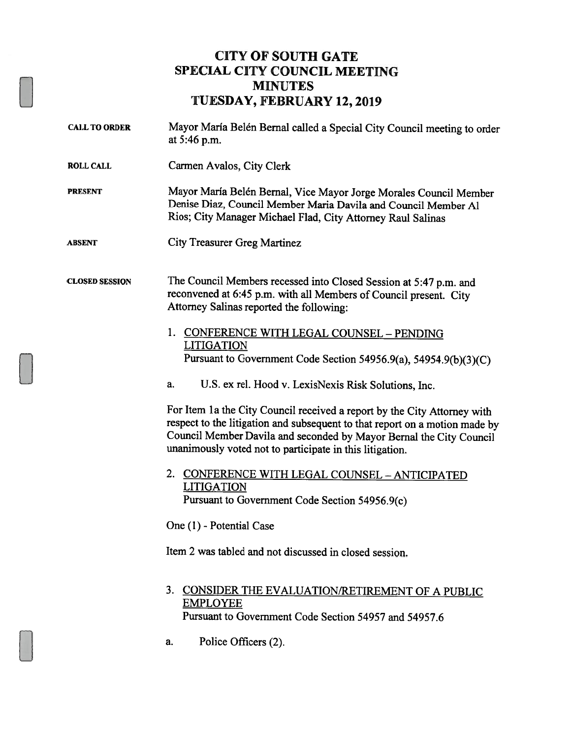## CITY OF SOUTH GATE SPECIAL CITY COUNCIL MEETING MINUTES TUESDAY, FEBRUARY 12,2019

- CALL TO ORDER Mayor María Belén Bernal called a Special City Council meeting to order at 5:46 p.m.
- ROLL CALL Carmen Avalos, City Clerk

PRESENT Mayor Maria Belén Bernal, Vice Mayor Jorge Morales Council Member Denise Diaz, Council Member Maria Davila and Council Member Al Rios; City Manager Michael Flad, City Attorney Raul Salinas

ABSENT City Treasurer Greg Martinez

CLOSED SESSION The Council Members recessed into Closed Session at 5:47 p.m. and reconvened at 6:45 p.m. with all Members of Council present. City Attorney Salinas reported the following:

- 1. CONFERENCE WITH LEGAL COUNSEL PENDING LITIGATION Pursuant to Government Code Section 54956.9(a), 54954.9(b)(3)(C)
- a. U.S. ex rel. Hood v. LexisNexis Risk Solutions, Inc.

For Item 1a the City Council received a report by the City Attorney with respect to the litigation and subsequent to that report on <sup>a</sup> motion made by Council Member Davila and seconded by Mayor Bernal the City Council unanimously voted not to participate in this litigation.

2. CONFERENCE WITH LEGAL COUNSEL - ANTICIPATED **LITIGATION** Pursuant to Government Code Section 54956.9(c)

One (1) - Potential Case

Item 2 was tabled and not discussed in closed session.

- 3. CONSIDER THE EVALUATION/RETIREMENT OF A PUBLIC EMPLOYEE Pursuant to Government Code Section 54957 and 54957.6
- a. Police Officers (2).